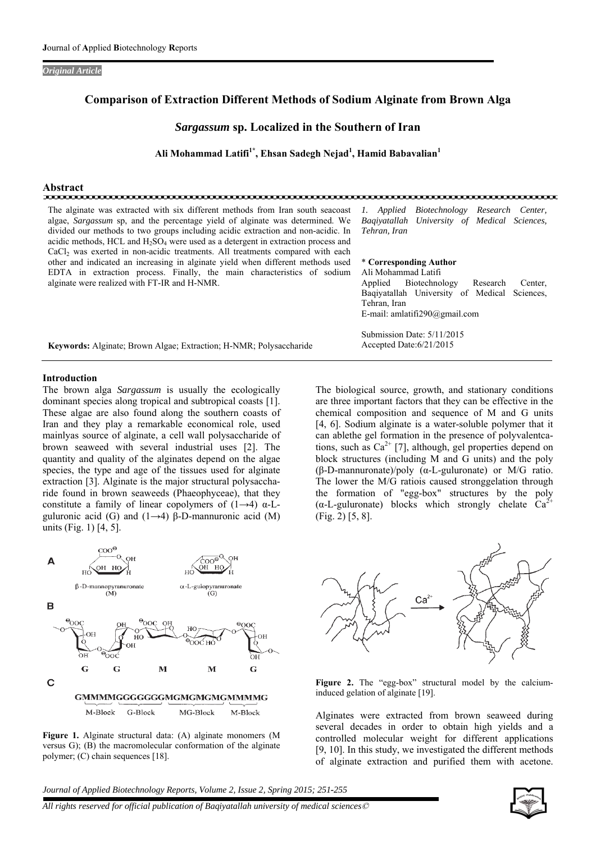*Original Article* 

# **Comparison of Extraction Different Methods of Sodium Alginate from Brown Alga**

# *Sargassum* **sp. Localized in the Southern of Iran**

**Ali Mohammad Latifi1\*, Ehsan Sadegh Nejad1 , Hamid Babavalian<sup>1</sup>**

# **Abstract**

| The alginate was extracted with six different methods from Iran south seacoast<br>algae, Sargassum sp, and the percentage yield of alginate was determined. We<br>divided our methods to two groups including acidic extraction and non-acidic. In<br>acidic methods, HCL and $H_2SO_4$ were used as a detergent in extraction process and<br>CaCl <sub>2</sub> was exerted in non-acidic treatments. All treatments compared with each | Biotechnology Research Center,<br>1. Applied<br>Bagivatallah University of Medical Sciences,<br>Tehran, Iran                                                                                      |  |  |
|-----------------------------------------------------------------------------------------------------------------------------------------------------------------------------------------------------------------------------------------------------------------------------------------------------------------------------------------------------------------------------------------------------------------------------------------|---------------------------------------------------------------------------------------------------------------------------------------------------------------------------------------------------|--|--|
| other and indicated an increasing in alginate yield when different methods used<br>EDTA in extraction process. Finally, the main characteristics of sodium<br>alginate were realized with FT-IR and H-NMR.                                                                                                                                                                                                                              | * Corresponding Author<br>Ali Mohammad Latifi<br>Biotechnology<br>Applied<br>Research<br>Center.<br>Bagiyatallah University of Medical Sciences,<br>Tehran, Iran<br>E-mail: amlatifi290@gmail.com |  |  |
| <b>Keywords:</b> Alginate; Brown Algae; Extraction; H-NMR; Polysaccharide                                                                                                                                                                                                                                                                                                                                                               | Submission Date: 5/11/2015<br>Accepted Date: $6/21/2015$                                                                                                                                          |  |  |

#### **Introduction**

The brown alga *Sargassum* is usually the ecologically dominant species along tropical and subtropical coasts [1]. These algae are also found along the southern coasts of Iran and they play a remarkable economical role, used mainlyas source of alginate, a cell wall polysaccharide of brown seaweed with several industrial uses [2]. The quantity and quality of the alginates depend on the algae species, the type and age of the tissues used for alginate extraction [3]. Alginate is the major structural polysaccharide found in brown seaweeds (Phaeophyceae), that they constitute a family of linear copolymers of  $(1\rightarrow 4)$  α-Lguluronic acid (G) and  $(1\rightarrow 4)$  β-D-mannuronic acid (M) units (Fig. 1) [4, 5].

A  $\beta$ -D-mannopyranuronate<br>(M)  $\alpha$ -L-gulopyranuronate B  $\frac{1}{2}$ OOC HO  $\sim$ G G M M G  $\mathbf C$ **GMMMMGGGGGGGMGMGMGMGMMMMG** M-Block G-Block MG-Block M-Block

**Figure 1.** Alginate structural data: (A) alginate monomers (M versus G); (B) the macromolecular conformation of the alginate polymer; (C) chain sequences [18].

The biological source, growth, and stationary conditions are three important factors that they can be effective in the chemical composition and sequence of M and G units [4, 6]. Sodium alginate is a water-soluble polymer that it can ablethe gel formation in the presence of polyvalentcations, such as  $Ca^{2+}$  [7], although, gel properties depend on block structures (including M and G units) and the poly (β-D-mannuronate)/poly (α-L-guluronate) or M/G ratio. The lower the M/G ratiois caused stronggelation through the formation of "egg-box" structures by the poly  $(\alpha$ -L-guluronate) blocks which strongly chelate Ca<sup>2</sup> (Fig. 2) [5, 8].



Figure 2. The "egg-box" structural model by the calciuminduced gelation of alginate [19].

Alginates were extracted from brown seaweed during several decades in order to obtain high yields and a controlled molecular weight for different applications [9, 10]. In this study, we investigated the different methods of alginate extraction and purified them with acetone.

*Journal of Applied Biotechnology Reports, Volume 2, Issue 2, Spring 2015; 251-255*

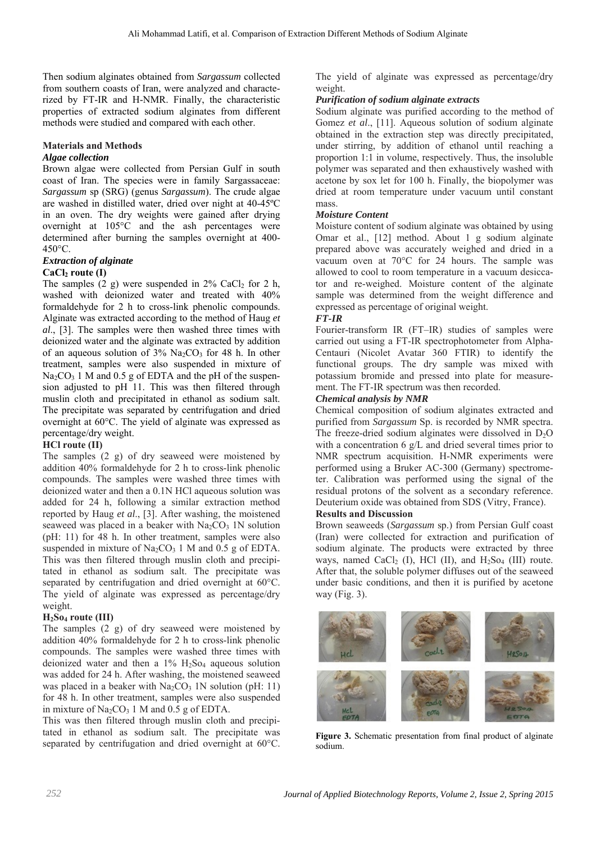Then sodium alginates obtained from *Sargassum* collected from southern coasts of Iran, were analyzed and characterized by FT-IR and H-NMR. Finally, the characteristic properties of extracted sodium alginates from different methods were studied and compared with each other.

# **Materials and Methods**

## *Algae collection*

Brown algae were collected from Persian Gulf in south coast of Iran. The species were in family Sargassaceae: *Sargassum* sp (SRG) (genus *Sargassum*). The crude algae are washed in distilled water, dried over night at 40-45ºC in an oven. The dry weights were gained after drying overnight at 105°C and the ash percentages were determined after burning the samples overnight at 400- 450°C.

#### *Extraction of alginate*  **CaCl<sub>2</sub>** route (I)

The samples  $(2 \text{ g})$  were suspended in 2% CaCl<sub>2</sub> for 2 h, washed with deionized water and treated with 40% formaldehyde for 2 h to cross-link phenolic compounds. Alginate was extracted according to the method of Haug *et al*., [3]. The samples were then washed three times with deionized water and the alginate was extracted by addition of an aqueous solution of  $3\%$  Na<sub>2</sub>CO<sub>3</sub> for 48 h. In other treatment, samples were also suspended in mixture of  $Na_2CO_3$  1 M and 0.5 g of EDTA and the pH of the suspension adjusted to pH 11. This was then filtered through muslin cloth and precipitated in ethanol as sodium salt. The precipitate was separated by centrifugation and dried overnight at 60°C. The yield of alginate was expressed as percentage/dry weight.

## **HCl route (II)**

The samples (2 g) of dry seaweed were moistened by addition 40% formaldehyde for 2 h to cross-link phenolic compounds. The samples were washed three times with deionized water and then a 0.1N HCl aqueous solution was added for 24 h, following a similar extraction method reported by Haug *et al*., [3]. After washing, the moistened seaweed was placed in a beaker with  $Na<sub>2</sub>CO<sub>3</sub>$  1N solution (pH: 11) for 48 h. In other treatment, samples were also suspended in mixture of  $Na<sub>2</sub>CO<sub>3</sub> 1 M$  and 0.5 g of EDTA. This was then filtered through muslin cloth and precipitated in ethanol as sodium salt. The precipitate was separated by centrifugation and dried overnight at 60°C. The yield of alginate was expressed as percentage/dry weight.

## **H2So4 route (III)**

The samples (2 g) of dry seaweed were moistened by addition 40% formaldehyde for 2 h to cross-link phenolic compounds. The samples were washed three times with deionized water and then a  $1\%$  H<sub>2</sub>S<sub>O4</sub> aqueous solution was added for 24 h. After washing, the moistened seaweed was placed in a beaker with  $Na_2CO_3$  1N solution (pH: 11) for 48 h. In other treatment, samples were also suspended in mixture of  $Na<sub>2</sub>CO<sub>3</sub> 1 M$  and 0.5 g of EDTA.

This was then filtered through muslin cloth and precipitated in ethanol as sodium salt. The precipitate was separated by centrifugation and dried overnight at 60°C.

The yield of alginate was expressed as percentage/dry weight.

# *Purification of sodium alginate extracts*

Sodium alginate was purified according to the method of Gomez *et al*., [11]. Aqueous solution of sodium alginate obtained in the extraction step was directly precipitated, under stirring, by addition of ethanol until reaching a proportion 1:1 in volume, respectively. Thus, the insoluble polymer was separated and then exhaustively washed with acetone by sox let for 100 h. Finally, the biopolymer was dried at room temperature under vacuum until constant mass.

# *Moisture Content*

Moisture content of sodium alginate was obtained by using Omar et al., [12] method. About 1 g sodium alginate prepared above was accurately weighed and dried in a vacuum oven at 70°C for 24 hours. The sample was allowed to cool to room temperature in a vacuum desiccator and re-weighed. Moisture content of the alginate sample was determined from the weight difference and expressed as percentage of original weight.

## *FT-IR*

Fourier-transform IR (FT–IR) studies of samples were carried out using a FT-IR spectrophotometer from Alpha-Centauri (Nicolet Avatar 360 FTIR) to identify the functional groups. The dry sample was mixed with potassium bromide and pressed into plate for measurement. The FT-IR spectrum was then recorded.

# *Chemical analysis by NMR*

Chemical composition of sodium alginates extracted and purified from *Sargassum* Sp. is recorded by NMR spectra. The freeze-dried sodium alginates were dissolved in  $D_2O$ with a concentration 6 g/L and dried several times prior to NMR spectrum acquisition. H-NMR experiments were performed using a Bruker AC-300 (Germany) spectrometer. Calibration was performed using the signal of the residual protons of the solvent as a secondary reference. Deuterium oxide was obtained from SDS (Vitry, France).

## **Results and Discussion**

Brown seaweeds (*Sargassum* sp.) from Persian Gulf coast (Iran) were collected for extraction and purification of sodium alginate. The products were extracted by three ways, named CaCl<sub>2</sub> (I), HCl (II), and  $H_2$ So<sub>4</sub> (III) route. After that, the soluble polymer diffuses out of the seaweed under basic conditions, and then it is purified by acetone way (Fig. 3).



**Figure 3.** Schematic presentation from final product of alginate sodium.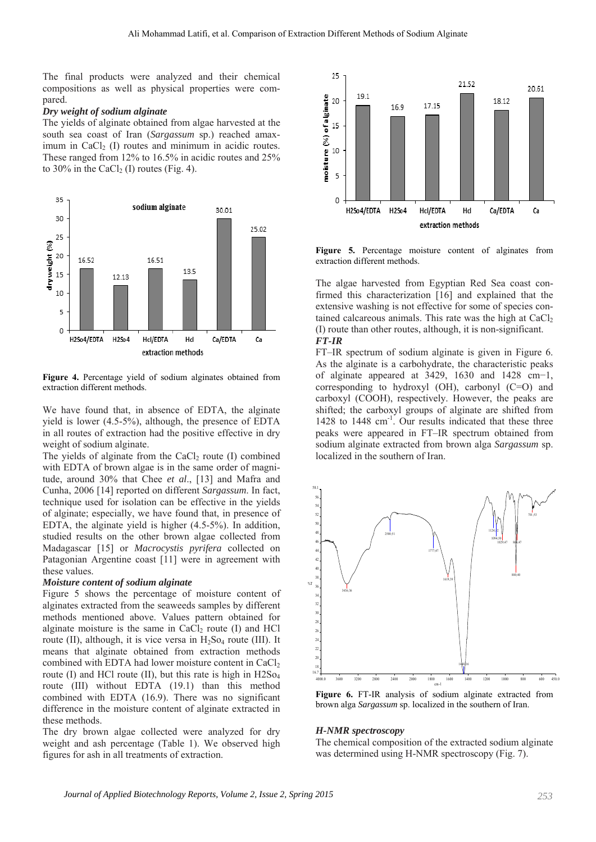The final products were analyzed and their chemical compositions as well as physical properties were compared.

#### *Dry weight of sodium alginate*

The yields of alginate obtained from algae harvested at the south sea coast of Iran (*Sargassum* sp.) reached amaximum in CaCl $_2$  (I) routes and minimum in acidic routes. These ranged from 12% to 16.5% in acidic routes and 25% to 30% in the CaCl<sub>2</sub> (I) routes (Fig. 4).



**Figure 4.** Percentage yield of sodium alginates obtained from extraction different methods.

We have found that, in absence of EDTA, the alginate yield is lower (4.5-5%), although, the presence of EDTA in all routes of extraction had the positive effective in dry weight of sodium alginate.

The yields of alginate from the CaCl<sub>2</sub> route  $(I)$  combined with EDTA of brown algae is in the same order of magnitude, around 30% that Chee *et al*., [13] and Mafra and Cunha, 2006 [14] reported on different *Sargassum*. In fact, technique used for isolation can be effective in the yields of alginate; especially, we have found that, in presence of EDTA, the alginate yield is higher (4.5-5%). In addition, studied results on the other brown algae collected from Madagascar [15] or *Macrocystis pyrifera* collected on Patagonian Argentine coast [11] were in agreement with these values.

#### *Moisture content of sodium alginate*

Figure 5 shows the percentage of moisture content of alginates extracted from the seaweeds samples by different methods mentioned above. Values pattern obtained for alginate moisture is the same in CaCl<sub>2</sub> route  $(I)$  and HCl route (II), although, it is vice versa in  $H_2$ So<sub>4</sub> route (III). It means that alginate obtained from extraction methods combined with EDTA had lower moisture content in CaCl<sub>2</sub> route (I) and HCl route (II), but this rate is high in H2So<sub>4</sub> route (III) without EDTA (19.1) than this method combined with EDTA (16.9). There was no significant difference in the moisture content of alginate extracted in these methods.

The dry brown algae collected were analyzed for dry weight and ash percentage (Table 1). We observed high figures for ash in all treatments of extraction.



**Figure 5.** Percentage moisture content of alginates from extraction different methods.

The algae harvested from Egyptian Red Sea coast confirmed this characterization [16] and explained that the extensive washing is not effective for some of species contained calcareous animals. This rate was the high at  $CaCl<sub>2</sub>$ (I) route than other routes, although, it is non-significant. *FT-IR* 

FT–IR spectrum of sodium alginate is given in Figure 6. As the alginate is a carbohydrate, the characteristic peaks of alginate appeared at 3429, 1630 and 1428 cm−1, corresponding to hydroxyl (OH), carbonyl (C=O) and carboxyl (COOH), respectively. However, the peaks are shifted; the carboxyl groups of alginate are shifted from 1428 to 1448 cm<sup>-1</sup>. Our results indicated that these three peaks were appeared in FT–IR spectrum obtained from sodium alginate extracted from brown alga *Sargassum* sp. localized in the southern of Iran.



**Figure 6.** FT-IR analysis of sodium alginate extracted from brown alga *Sargassum* sp. localized in the southern of Iran.

#### *H-NMR spectroscopy*

The chemical composition of the extracted sodium alginate was determined using H-NMR spectroscopy (Fig. 7).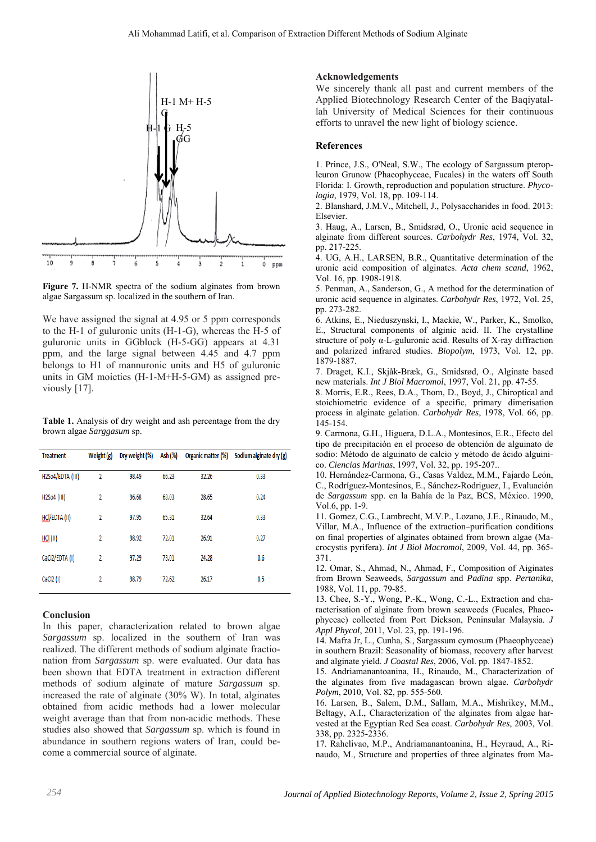

**Figure 7.** H-NMR spectra of the sodium alginates from brown algae Sargassum sp. localized in the southern of Iran.

We have assigned the signal at 4.95 or 5 ppm corresponds to the H-1 of guluronic units (H-1-G), whereas the H-5 of guluronic units in GGblock (H-5-GG) appears at 4.31 ppm, and the large signal between 4.45 and 4.7 ppm belongs to H1 of mannuronic units and H5 of guluronic units in GM moieties (H-1-M+H-5-GM) as assigned previously [17].

**Table 1.** Analysis of dry weight and ash percentage from the dry brown algae *Sarggasum* sp.

| <b>Treatment</b> | Weight (g)     | Dry weight (%) | Ash (%) | Organic matter (%) | Sodium alginate dry (g) |
|------------------|----------------|----------------|---------|--------------------|-------------------------|
| H2So4/EDTA (III) | 2              | 98.49          | 66.23   | 32.26              | 0.33                    |
| H2So4 (III)      | 2              | 96.68          | 68.03   | 28.65              | 0.24                    |
| HCl/EDTA (II)    | 2              | 97.95          | 65.31   | 32.64              | 0.33                    |
| HCl (II)         | 2              | 98.92          | 72.01   | 26.91              | 0.27                    |
| CaCl2/EDTA (I)   | $\overline{2}$ | 97.29          | 73.01   | 24.28              | 0.6                     |
| CaCl2 (I)        | 2              | 98.79          | 72.62   | 26.17              | 0.5                     |

### **Conclusion**

In this paper, characterization related to brown algae *Sargassum* sp. localized in the southern of Iran was realized. The different methods of sodium alginate fractionation from *Sargassum* sp. were evaluated. Our data has been shown that EDTA treatment in extraction different methods of sodium alginate of mature *Sargassum* sp. increased the rate of alginate (30% W). In total, alginates obtained from acidic methods had a lower molecular weight average than that from non-acidic methods. These studies also showed that *Sargassum* sp. which is found in abundance in southern regions waters of Iran, could become a commercial source of alginate.

### **Acknowledgements**

We sincerely thank all past and current members of the Applied Biotechnology Research Center of the Baqiyatallah University of Medical Sciences for their continuous efforts to unravel the new light of biology science.

### **References**

1. Prince, J.S., O'Neal, S.W., The ecology of Sargassum pteropleuron Grunow (Phaeophyceae, Fucales) in the waters off South Florida: I. Growth, reproduction and population structure. *Phycologia*, 1979, Vol. 18, pp. 109-114.

2. Blanshard, J.M.V., Mitchell, J., Polysaccharides in food. 2013: Elsevier.

3. Haug, A., Larsen, B., Smidsrød, O., Uronic acid sequence in alginate from different sources. *Carbohydr Res*, 1974, Vol. 32, pp. 217-225.

4. UG, A.H., LARSEN, B.R., Quantitative determination of the uronic acid composition of alginates. *Acta chem scand*, 1962, Vol. 16, pp. 1908-1918.

5. Penman, A., Sanderson, G., A method for the determination of uronic acid sequence in alginates. *Carbohydr Res*, 1972, Vol. 25, pp. 273-282.

6. Atkins, E., Nieduszynski, I., Mackie, W., Parker, K., Smolko, E., Structural components of alginic acid. II. The crystalline structure of poly α-L-guluronic acid. Results of X-ray diffraction and polarized infrared studies. *Biopolym*, 1973, Vol. 12, pp. 1879-1887.

7. Draget, K.I., Skjåk-Bræk, G., Smidsrød, O., Alginate based new materials. *Int J Biol Macromol*, 1997, Vol. 21, pp. 47-55.

8. Morris, E.R., Rees, D.A., Thom, D., Boyd, J., Chiroptical and stoichiometric evidence of a specific, primary dimerisation process in alginate gelation. *Carbohydr Res*, 1978, Vol. 66, pp. 145-154.

9. Carmona, G.H., Higuera, D.L.A., Montesinos, E.R., Efecto del tipo de precipitación en el proceso de obtención de alguinato de sodio: Método de alguinato de calcio y método de ácido alguinico. *Ciencias Marinas*, 1997, Vol. 32, pp. 195-207..

10. Hernández-Carmona, G., Casas Valdez, M.M., Fajardo León, C., Rodríguez-Montesinos, E., Sánchez-Rodriguez, I., Evaluación de *Sargassum* spp. en la Bahía de la Paz, BCS, México. 1990, Vol.6, pp. 1-9.

11. Gomez, C.G., Lambrecht, M.V.P., Lozano, J.E., Rinaudo, M., Villar, M.A., Influence of the extraction–purification conditions on final properties of alginates obtained from brown algae (Macrocystis pyrifera). *Int J Biol Macromol*, 2009, Vol. 44, pp. 365- 371.

12. Omar, S., Ahmad, N., Ahmad, F., Composition of Aiginates from Brown Seaweeds, *Sargassum* and *Padina* spp. *Pertanika*, 1988, Vol. 11, pp. 79-85.

13. Chee, S.-Y., Wong, P.-K., Wong, C.-L., Extraction and characterisation of alginate from brown seaweeds (Fucales, Phaeophyceae) collected from Port Dickson, Peninsular Malaysia. *J Appl Phycol*, 2011, Vol. 23, pp. 191-196.

14. Mafra Jr, L., Cunha, S., Sargassum cymosum (Phaeophyceae) in southern Brazil: Seasonality of biomass, recovery after harvest and alginate yield. *J Coastal Res*, 2006, Vol. pp. 1847-1852.

15. Andriamanantoanina, H., Rinaudo, M., Characterization of the alginates from five madagascan brown algae. *Carbohydr Polym*, 2010, Vol. 82, pp. 555-560.

16. Larsen, B., Salem, D.M., Sallam, M.A., Mishrikey, M.M., Beltagy, A.I., Characterization of the alginates from algae harvested at the Egyptian Red Sea coast. *Carbohydr Res*, 2003, Vol. 338, pp. 2325-2336.

17. Rahelivao, M.P., Andriamanantoanina, H., Heyraud, A., Rinaudo, M., Structure and properties of three alginates from Ma